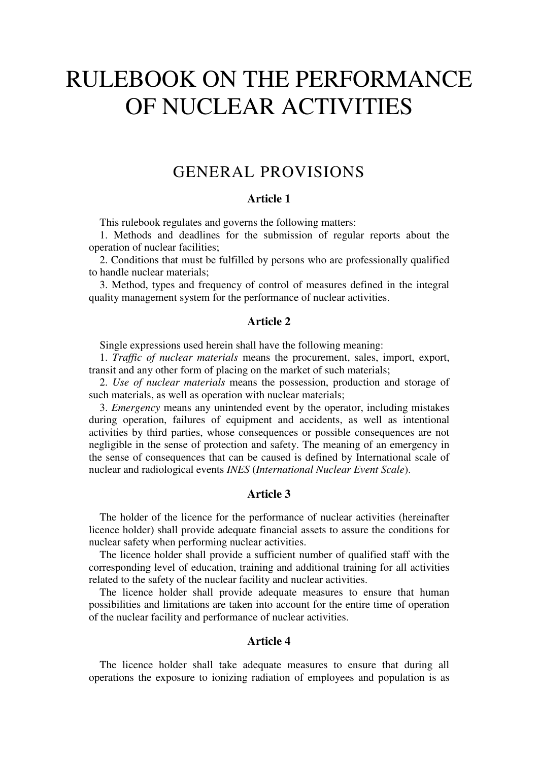# RULEBOOK ON THE PERFORMANCE OF NUCLEAR ACTIVITIES

# GENERAL PROVISIONS

# **Article 1**

This rulebook regulates and governs the following matters:

1. Methods and deadlines for the submission of regular reports about the operation of nuclear facilities;

2. Conditions that must be fulfilled by persons who are professionally qualified to handle nuclear materials;

3. Method, types and frequency of control of measures defined in the integral quality management system for the performance of nuclear activities.

### **Article 2**

Single expressions used herein shall have the following meaning:

1. *Traffic of nuclear materials* means the procurement, sales, import, export, transit and any other form of placing on the market of such materials;

2. *Use of nuclear materials* means the possession, production and storage of such materials, as well as operation with nuclear materials;

3. *Emergency* means any unintended event by the operator, including mistakes during operation, failures of equipment and accidents, as well as intentional activities by third parties, whose consequences or possible consequences are not negligible in the sense of protection and safety. The meaning of an emergency in the sense of consequences that can be caused is defined by International scale of nuclear and radiological events *INES* (*International Nuclear Event Scale*).

## **Article 3**

The holder of the licence for the performance of nuclear activities (hereinafter licence holder) shall provide adequate financial assets to assure the conditions for nuclear safety when performing nuclear activities.

The licence holder shall provide a sufficient number of qualified staff with the corresponding level of education, training and additional training for all activities related to the safety of the nuclear facility and nuclear activities.

The licence holder shall provide adequate measures to ensure that human possibilities and limitations are taken into account for the entire time of operation of the nuclear facility and performance of nuclear activities.

# **Article 4**

The licence holder shall take adequate measures to ensure that during all operations the exposure to ionizing radiation of employees and population is as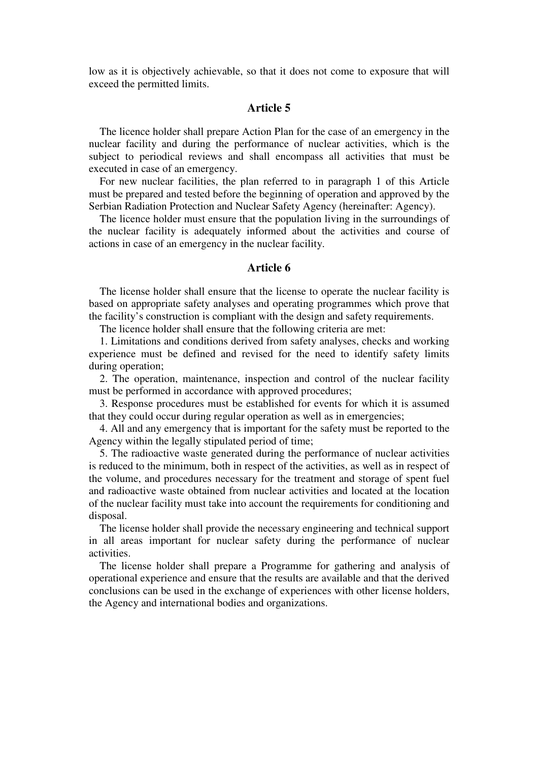low as it is objectively achievable, so that it does not come to exposure that will exceed the permitted limits.

# **Article 5**

The licence holder shall prepare Action Plan for the case of an emergency in the nuclear facility and during the performance of nuclear activities, which is the subject to periodical reviews and shall encompass all activities that must be executed in case of an emergency.

For new nuclear facilities, the plan referred to in paragraph 1 оf this Article must be prepared and tested before the beginning of operation and approved by the Serbian Radiation Protection and Nuclear Safety Agency (hereinafter: Аgency).

The licence holder must ensure that the population living in the surroundings of the nuclear facility is adequately informed about the activities and course of actions in case of an emergency in the nuclear facility.

### **Article 6**

The license holder shall ensure that the license to operate the nuclear facility is based on appropriate safety analyses and operating programmes which prove that the facility's construction is compliant with the design and safety requirements.

The licence holder shall ensure that the following criteria are met:

1. Limitations and conditions derived from safety analyses, checks and working experience must be defined and revised for the need to identify safety limits during operation;

2. The operation, maintenance, inspection and control of the nuclear facility must be performed in accordance with approved procedures;

3. Response procedures must be established for events for which it is assumed that they could occur during regular operation as well as in emergencies;

4. All and any emergency that is important for the safety must be reported to the Agency within the legally stipulated period of time;

5. The radioactive waste generated during the performance of nuclear activities is reduced to the minimum, both in respect of the activities, as well as in respect of the volume, and procedures necessary for the treatment and storage of spent fuel and radioactive waste obtained from nuclear activities and located at the location of the nuclear facility must take into account the requirements for conditioning and disposal.

The license holder shall provide the necessary engineering and technical support in all areas important for nuclear safety during the performance of nuclear activities.

The license holder shall prepare a Programme for gathering and analysis of operational experience and ensure that the results are available and that the derived conclusions can be used in the exchange of experiences with other license holders, the Agency and international bodies and organizations.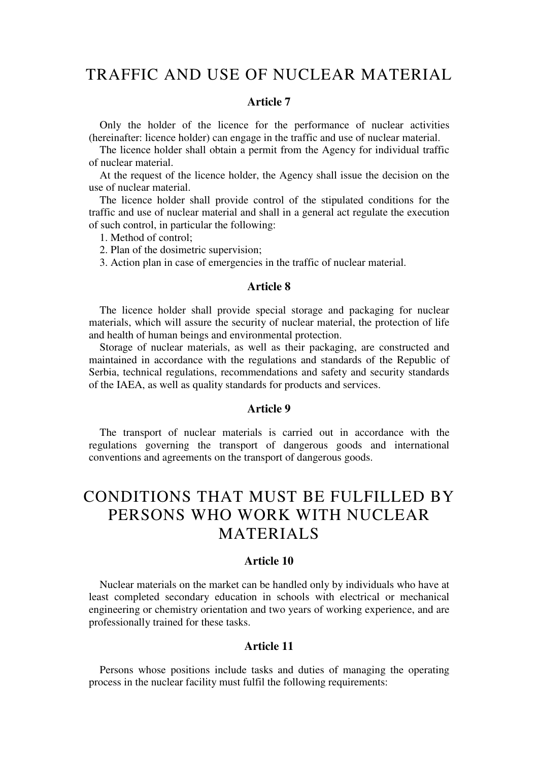# TRAFFIC AND USE OF NUCLEAR MATERIAL

#### **Article 7**

Only the holder of the licence for the performance of nuclear activities (hereinafter: licence holder) can engage in the traffic and use of nuclear material.

The licence holder shall obtain a permit from the Agency for individual traffic of nuclear material.

At the request of the licence holder, the Agency shall issue the decision on the use of nuclear material.

The licence holder shall provide control of the stipulated conditions for the traffic and use of nuclear material and shall in a general act regulate the execution of such control, in particular the following:

1. Method of control;

2. Plan of the dosimetric supervision;

3. Action plan in case of emergencies in the traffic of nuclear material.

### **Article 8**

The licence holder shall provide special storage and packaging for nuclear materials, which will assure the security of nuclear material, the protection of life and health of human beings and environmental protection.

Storage of nuclear materials, as well as their packaging, are constructed and maintained in accordance with the regulations and standards of the Republic of Serbia, technical regulations, recommendations and safety and security standards of the IAEA, as well as quality standards for products and services.

#### **Article 9**

The transport of nuclear materials is carried out in accordance with the regulations governing the transport of dangerous goods and international conventions and agreements on the transport of dangerous goods.

# CONDITIONS THAT MUST BE FULFILLED BY PERSONS WHO WORK WITH NUCLEAR MATERIALS

### **Article 10**

Nuclear materials on the market can be handled only by individuals who have at least completed secondary education in schools with electrical or mechanical engineering or chemistry orientation and two years of working experience, and are professionally trained for these tasks.

### **Article 11**

Persons whose positions include tasks and duties of managing the operating process in the nuclear facility must fulfil the following requirements: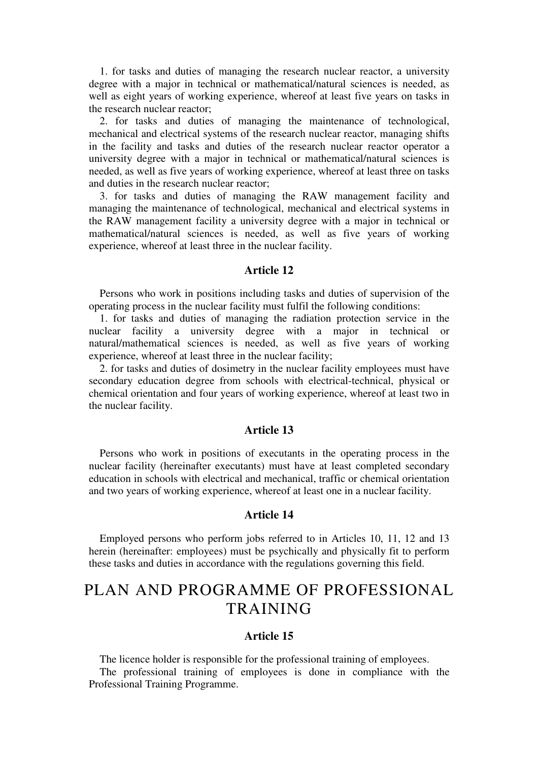1. for tasks and duties of managing the research nuclear reactor, a university degree with a major in technical or mathematical/natural sciences is needed, as well as eight years of working experience, whereof at least five years on tasks in the research nuclear reactor;

2. for tasks and duties of managing the maintenance of technological, mechanical and electrical systems of the research nuclear reactor, managing shifts in the facility and tasks and duties of the research nuclear reactor operator a university degree with a major in technical or mathematical/natural sciences is needed, as well as five years of working experience, whereof at least three on tasks and duties in the research nuclear reactor;

3. for tasks and duties of managing the RAW management facility and managing the maintenance of technological, mechanical and electrical systems in the RAW management facility a university degree with a major in technical or mathematical/natural sciences is needed, as well as five years of working experience, whereof at least three in the nuclear facility.

### **Article 12**

Persons who work in positions including tasks and duties of supervision of the operating process in the nuclear facility must fulfil the following conditions:

1. for tasks and duties of managing the radiation protection service in the nuclear facility a university degree with a major in technical or natural/mathematical sciences is needed, as well as five years of working experience, whereof at least three in the nuclear facility;

2. for tasks and duties of dosimetry in the nuclear facility employees must have secondary education degree from schools with electrical-technical, physical or chemical orientation and four years of working experience, whereof at least two in the nuclear facility.

### **Article 13**

Persons who work in positions of executants in the operating process in the nuclear facility (hereinafter executants) must have at least completed secondary education in schools with electrical and mechanical, traffic or chemical orientation and two years of working experience, whereof at least one in a nuclear facility.

#### **Article 14**

Employed persons who perform jobs referred to in Articles 10, 11, 12 and 13 herein (hereinafter: employees) must be psychically and physically fit to perform these tasks and duties in accordance with the regulations governing this field.

# PLAN AND PROGRAMME OF PROFESSIONAL **TRAINING**

### **Article 15**

The licence holder is responsible for the professional training of employees.

The professional training of employees is done in compliance with the Professional Training Programme.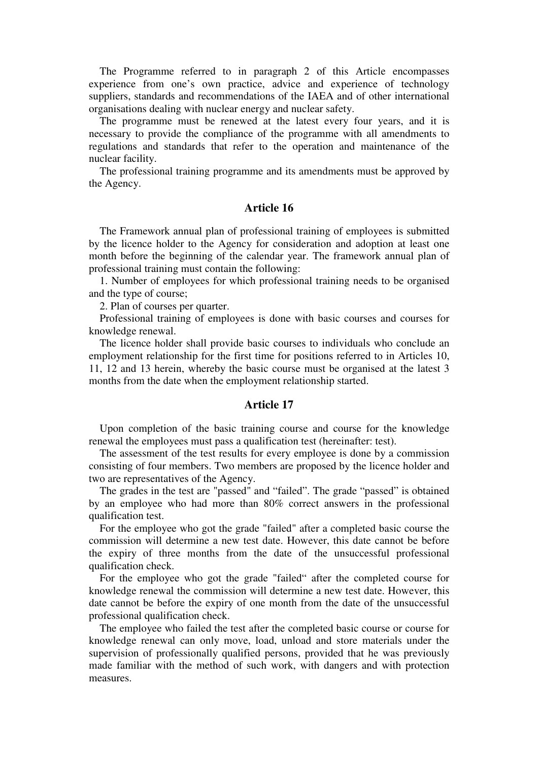The Programme referred to in paragraph 2 of this Article encompasses experience from one's own practice, advice and experience of technology suppliers, standards and recommendations of the IAEA and of other international organisations dealing with nuclear energy and nuclear safety.

The programme must be renewed at the latest every four years, and it is necessary to provide the compliance of the programme with all amendments to regulations and standards that refer to the operation and maintenance of the nuclear facility.

The professional training programme and its amendments must be approved by the Agency.

### **Article 16**

The Framework annual plan of professional training of employees is submitted by the licence holder to the Agency for consideration and adoption at least one month before the beginning of the calendar year. The framework annual plan of professional training must contain the following:

1. Number of employees for which professional training needs to be organised and the type of course;

2. Plan of courses per quarter.

Professional training of employees is done with basic courses and courses for knowledge renewal.

The licence holder shall provide basic courses to individuals who conclude an employment relationship for the first time for positions referred to in Articles 10, 11, 12 and 13 herein, whereby the basic course must be organised at the latest 3 months from the date when the employment relationship started.

### **Article 17**

Upon completion of the basic training course and course for the knowledge renewal the employees must pass a qualification test (hereinafter: test).

The assessment of the test results for every employee is done by a commission consisting of four members. Two members are proposed by the licence holder and two are representatives of the Agency.

The grades in the test are "passed" and "failed". The grade "passed" is obtained by an employee who had more than 80% correct answers in the professional qualification test.

For the employee who got the grade "failed" after a completed basic course the commission will determine a new test date. However, this date cannot be before the expiry of three months from the date of the unsuccessful professional qualification check.

For the employee who got the grade "failed" after the completed course for knowledge renewal the commission will determine a new test date. However, this date cannot be before the expiry of one month from the date of the unsuccessful professional qualification check.

The employee who failed the test after the completed basic course or course for knowledge renewal can only move, load, unload and store materials under the supervision of professionally qualified persons, provided that he was previously made familiar with the method of such work, with dangers and with protection measures.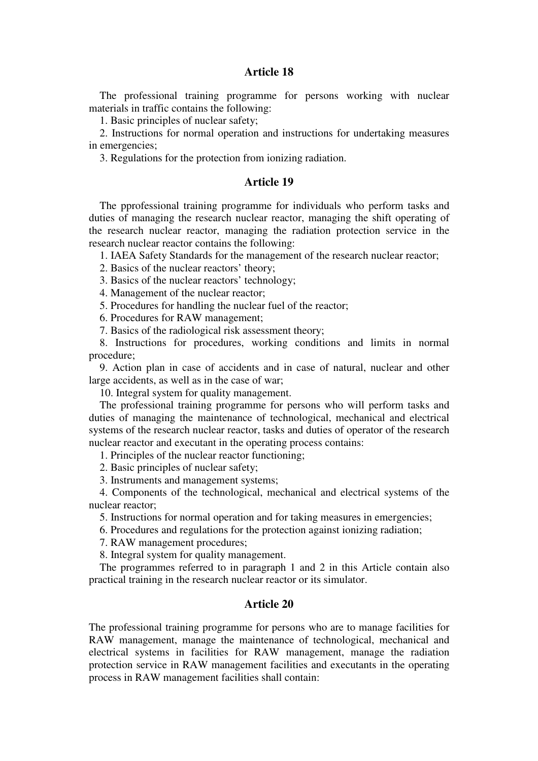# **Article 18**

The professional training programme for persons working with nuclear materials in traffic contains the following:

1. Basic principles of nuclear safety;

2. Instructions for normal operation and instructions for undertaking measures in emergencies;

3. Regulations for the protection from ionizing radiation.

#### **Article 19**

The pprofessional training programme for individuals who perform tasks and duties of managing the research nuclear reactor, managing the shift operating of the research nuclear reactor, managing the radiation protection service in the research nuclear reactor contains the following:

1. IAEA Safety Standards for the management of the research nuclear reactor;

2. Basics of the nuclear reactors' theory;

3. Basics of the nuclear reactors' technology;

4. Management of the nuclear reactor;

5. Procedures for handling the nuclear fuel of the reactor;

6. Procedures for RAW management;

7. Basics of the radiological risk assessment theory;

8. Instructions for procedures, working conditions and limits in normal procedure;

9. Action plan in case of accidents and in case of natural, nuclear and other large accidents, as well as in the case of war;

10. Integral system for quality management.

The professional training programme for persons who will perform tasks and duties of managing the maintenance of technological, mechanical and electrical systems of the research nuclear reactor, tasks and duties of operator of the research nuclear reactor and executant in the operating process contains:

1. Principles of the nuclear reactor functioning;

2. Basic principles of nuclear safety;

3. Instruments and management systems;

4. Components of the technological, mechanical and electrical systems of the nuclear reactor;

5. Instructions for normal operation and for taking measures in emergencies;

6. Procedures and regulations for the protection against ionizing radiation;

7. RAW management procedures;

8. Integral system for quality management.

The programmes referred to in paragraph 1 and 2 in this Article contain also practical training in the research nuclear reactor or its simulator.

#### **Article 20**

The professional training programme for persons who are to manage facilities for RAW management, manage the maintenance of technological, mechanical and electrical systems in facilities for RAW management, manage the radiation protection service in RAW management facilities and executants in the operating process in RAW management facilities shall contain: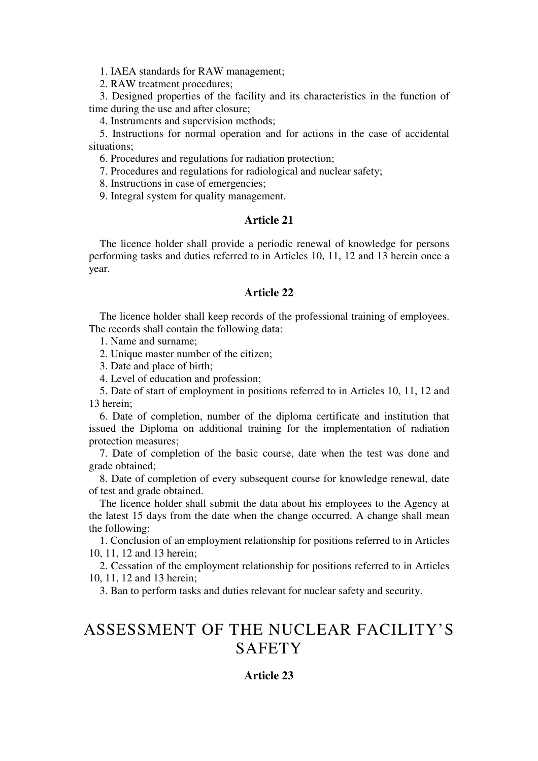1. IAEA standards for RAW management;

2. RAW treatment procedures;

3. Designed properties of the facility and its characteristics in the function of time during the use and after closure;

4. Instruments and supervision methods;

5. Instructions for normal operation and for actions in the case of accidental situations;

6. Procedures and regulations for radiation protection;

7. Procedures and regulations for radiological and nuclear safety;

8. Instructions in case of emergencies;

9. Integral system for quality management.

### **Article 21**

The licence holder shall provide a periodic renewal of knowledge for persons performing tasks and duties referred to in Articles 10, 11, 12 and 13 herein once a year.

### **Article 22**

The licence holder shall keep records of the professional training of employees. The records shall contain the following data:

1. Name and surname;

2. Unique master number of the citizen;

3. Date and place of birth;

4. Level of education and profession;

5. Date of start of employment in positions referred to in Articles 10, 11, 12 and 13 herein;

6. Date of completion, number of the diploma certificate and institution that issued the Diploma on additional training for the implementation of radiation protection measures;

7. Date of completion of the basic course, date when the test was done and grade obtained;

8. Date of completion of every subsequent course for knowledge renewal, date of test and grade obtained.

The licence holder shall submit the data about his employees to the Agency at the latest 15 days from the date when the change occurred. A change shall mean the following:

1. Conclusion of an employment relationship for positions referred to in Articles 10, 11, 12 and 13 herein;

2. Cessation of the employment relationship for positions referred to in Articles 10, 11, 12 and 13 herein;

3. Ban to perform tasks and duties relevant for nuclear safety and security.

# ASSESSMENT OF THE NUCLEAR FACILITY'S **SAFETY**

# **Article 23**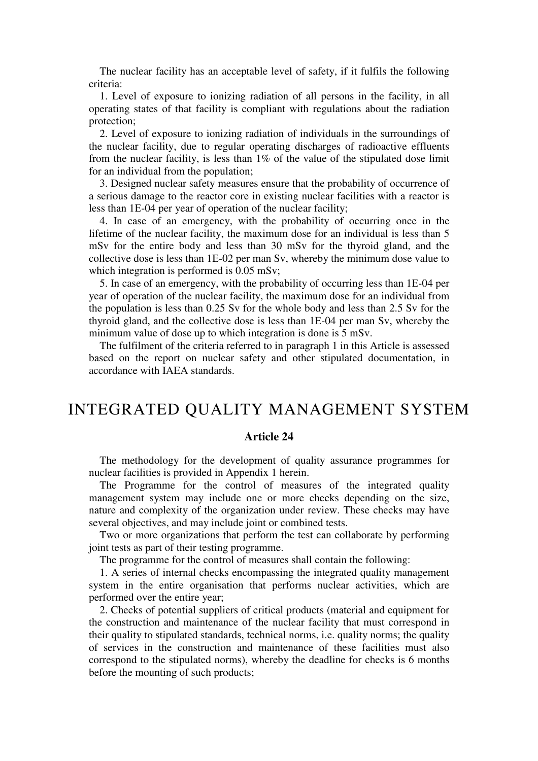The nuclear facility has an acceptable level of safety, if it fulfils the following criteria:

1. Level of exposure to ionizing radiation of all persons in the facility, in all operating states of that facility is compliant with regulations about the radiation protection;

2. Level of exposure to ionizing radiation of individuals in the surroundings of the nuclear facility, due to regular operating discharges of radioactive effluents from the nuclear facility, is less than  $1\%$  of the value of the stipulated dose limit for an individual from the population;

3. Designed nuclear safety measures ensure that the probability of occurrence of a serious damage to the reactor core in existing nuclear facilities with a reactor is less than 1Е-04 per year of operation of the nuclear facility;

4. In case of an emergency, with the probability of occurring once in the lifetime of the nuclear facility, the maximum dose for an individual is less than 5 mSv for the entire body and less than 30 mSv for the thyroid gland, аnd the collective dose is less than 1Е-02 per man Sv, whereby the minimum dose value to which integration is performed is 0.05 mSv;

5. In case of an emergency, with the probability of occurring less than 1Е-04 per year of operation of the nuclear facility, the maximum dose for an individual from the population is less than 0.25 Sv for the whole body and less than 2.5 Sv for the thyroid gland, аnd the collective dose is less than 1Е-04 per man Sv, whereby the minimum value of dose up to which integration is done is 5 mSv.

The fulfilment of the criteria referred to in paragraph 1 in this Article is assessed based on the report on nuclear safety and other stipulated documentation, in accordance with IAEA standards.

# INTEGRATED QUALITY MANAGEMENT SYSTEM

#### **Article 24**

The methodology for the development of quality assurance programmes for nuclear facilities is provided in Appendix 1 herein.

The Programme for the control of measures of the integrated quality management system may include one or more checks depending on the size, nature and complexity of the organization under review. These checks may have several objectives, and may include joint or combined tests.

Two or more organizations that perform the test can collaborate by performing joint tests as part of their testing programme.

The programme for the control of measures shall contain the following:

1. A series of internal checks encompassing the integrated quality management system in the entire organisation that performs nuclear activities, which are performed over the entire year;

2. Checks of potential suppliers of critical products (material and equipment for the construction and maintenance of the nuclear facility that must correspond in their quality to stipulated standards, technical norms, i.e. quality norms; the quality of services in the construction and maintenance of these facilities must also correspond to the stipulated norms), whereby the deadline for checks is 6 months before the mounting of such products;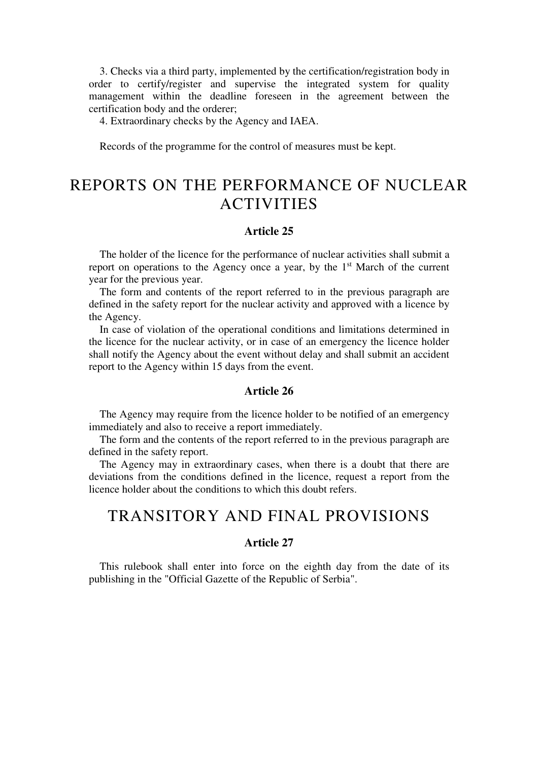3. Checks via a third party, implemented by the certification/registration body in order to certify/register and supervise the integrated system for quality management within the deadline foreseen in the agreement between the certification body and the orderer;

4. Extraordinary checks by the Agency and IAEA.

Records of the programme for the control of measures must be kept.

# REPORTS ON THE PERFORMANCE OF NUCLEAR ACTIVITIES

#### **Article 25**

The holder of the licence for the performance of nuclear activities shall submit a report on operations to the Agency once a year, by the  $1<sup>st</sup>$  March of the current year for the previous year.

The form and contents of the report referred to in the previous paragraph are defined in the safety report for the nuclear activity and approved with a licence by the Agency.

In case of violation of the operational conditions and limitations determined in the licence for the nuclear activity, or in case of an emergency the licence holder shall notify the Agency about the event without delay and shall submit an accident report to the Agency within 15 days from the event.

#### **Article 26**

The Agency may require from the licence holder to be notified of an emergency immediately and also to receive a report immediately.

The form and the contents of the report referred to in the previous paragraph are defined in the safety report.

The Agency may in extraordinary cases, when there is a doubt that there are deviations from the conditions defined in the licence, request a report from the licence holder about the conditions to which this doubt refers.

# TRANSITORY AND FINAL PROVISIONS

## **Article 27**

This rulebook shall enter into force on the eighth day from the date of its publishing in the "Official Gazette of the Republic of Serbia".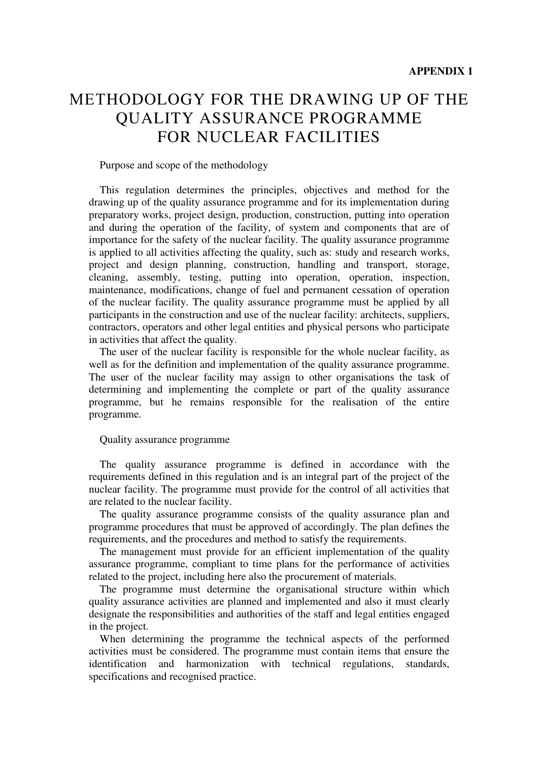# МЕТHОDOLOGY FOR THE DRAWING UP OF THE QUALITY ASSURANCE PROGRAMME FOR NUCLEAR FACILITIES

Purpose and scope of the methodology

This regulation determines the principles, objectives and method for the drawing up of the quality assurance programme and for its implementation during preparatory works, project design, production, construction, putting into operation and during the operation of the facility, of system and components that are of importance for the safety of the nuclear facility. The quality assurance programme is applied to all activities affecting the quality, such as: study and research works, project and design planning, construction, handling and transport, storage, cleaning, assembly, testing, putting into operation, operation, inspection, maintenance, modifications, change of fuel and permanent cessation of operation of the nuclear facility. The quality assurance programme must be applied by all participants in the construction and use of the nuclear facility: architects, suppliers, contractors, operators and other legal entities and physical persons who participate in activities that affect the quality.

The user of the nuclear facility is responsible for the whole nuclear facility, as well as for the definition and implementation of the quality assurance programme. The user of the nuclear facility may assign to other organisations the task of determining and implementing the complete or part of the quality assurance programme, but he remains responsible for the realisation of the entire programme.

### Quality assurance programme

The quality assurance programme is defined in accordance with the requirements defined in this regulation and is an integral part of the project of the nuclear facility. The programme must provide for the control of all activities that are related to the nuclear facility.

The quality assurance programme consists of the quality assurance plan and programme procedures that must be approved of accordingly. The plan defines the requirements, аnd the procedures and method to satisfy the requirements.

The management must provide for an efficient implementation of the quality assurance programme, compliant to time plans for the performance of activities related to the project, including here also the procurement of materials.

The programme must determine the organisational structure within which quality assurance activities are planned and implemented and also it must clearly designate the responsibilities and authorities of the staff and legal entities engaged in the project.

When determining the programme the technical aspects of the performed activities must be considered. The programme must contain items that ensure the identification and harmonization with technical regulations, standards, specifications and recognised practice.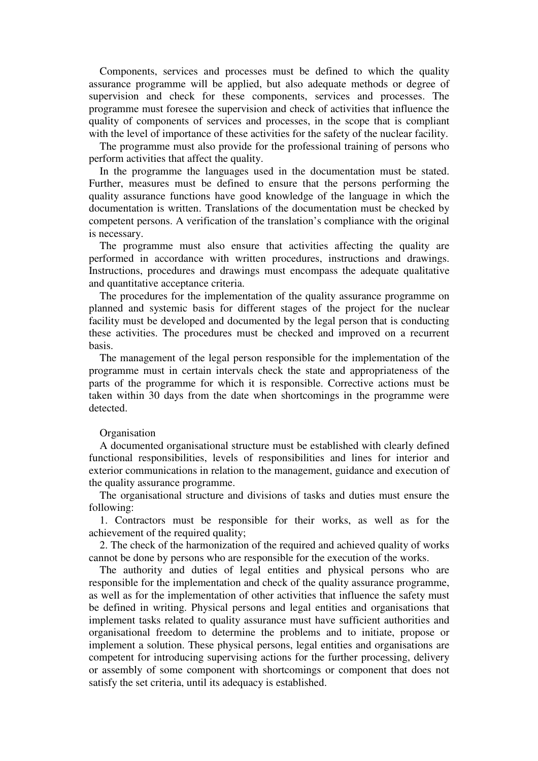Components, services and processes must be defined to which the quality assurance programme will be applied, but also adequate methods or degree of supervision and check for these components, services and processes. The programme must foresee the supervision and check of activities that influence the quality of components of services and processes, in the scope that is compliant with the level of importance of these activities for the safety of the nuclear facility.

The programme must also provide for the professional training of persons who perform activities that affect the quality.

In the programme the languages used in the documentation must be stated. Further, measures must be defined to ensure that the persons performing the quality assurance functions have good knowledge of the language in which the documentation is written. Translations of the documentation must be checked by competent persons. A verification of the translation's compliance with the original is necessary.

The programme must also ensure that activities affecting the quality are performed in accordance with written procedures, instructions and drawings. Instructions, procedures and drawings must encompass the adequate qualitative and quantitative acceptance criteria.

The procedures for the implementation of the quality assurance programme on planned and systemic basis for different stages of the project for the nuclear facility must be developed and documented by the legal person that is conducting these activities. The procedures must be checked and improved on a recurrent basis.

The management of the legal person responsible for the implementation of the programme must in certain intervals check the state and appropriateness of the parts of the programme for which it is responsible. Corrective actions must be taken within 30 days from the date when shortcomings in the programme were detected.

#### **Organisation**

A documented organisational structure must be established with clearly defined functional responsibilities, levels of responsibilities and lines for interior and exterior communications in relation to the management, guidance and execution of the quality assurance programme.

The organisational structure and divisions of tasks and duties must ensure the following:

1. Contractors must be responsible for their works, as well as for the achievement of the required quality;

2. The check of the harmonization of the required and achieved quality of works cannot be done by persons who are responsible for the execution of the works.

The authority and duties of legal entities and physical persons who are responsible for the implementation and check of the quality assurance programme, as well as for the implementation of other activities that influence the safety must be defined in writing. Physical persons and legal entities and organisations that implement tasks related to quality assurance must have sufficient authorities and organisational freedom to determine the problems and to initiate, propose or implement a solution. These physical persons, legal entities аnd organisations are competent for introducing supervising actions for the further processing, delivery or assembly of some component with shortcomings or component that does not satisfy the set criteria, until its adequacy is established.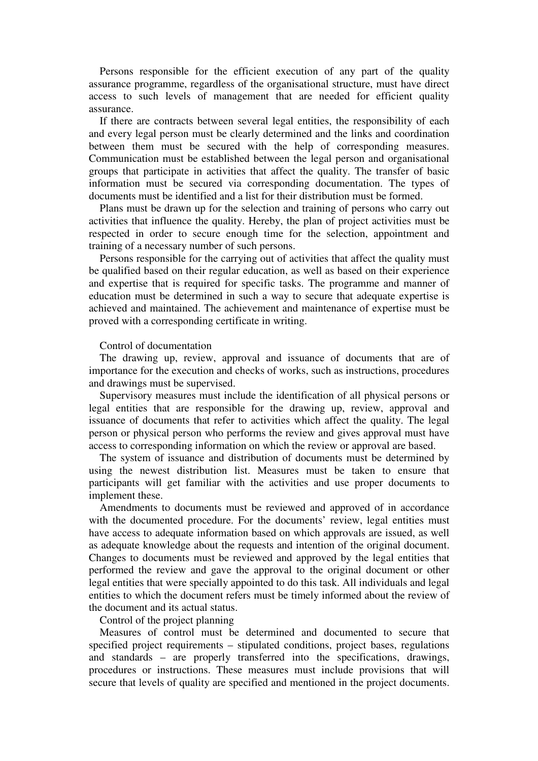Persons responsible for the efficient execution of any part of the quality assurance programme, regardless of the organisational structure, must have direct access to such levels of management that are needed for efficient quality assurance.

If there are contracts between several legal entities, the responsibility of each and every legal person must be clearly determined and the links and coordination between them must be secured with the help of corresponding measures. Communication must be established between the legal person and organisational groups that participate in activities that affect the quality. The transfer of basic information must be secured via corresponding documentation. The types of documents must be identified and a list for their distribution must be formed.

Plans must be drawn up for the selection and training of persons who carry out activities that influence the quality. Hereby, the plan of project activities must be respected in order to secure enough time for the selection, appointment and training of a necessary number of such persons.

Persons responsible for the carrying out of activities that affect the quality must be qualified based on their regular education, as well as based on their experience and expertise that is required for specific tasks. The programme and manner of education must be determined in such a way to secure that adequate expertise is achieved and maintained. The achievement and maintenance of expertise must be proved with a corresponding certificate in writing.

#### Control of documentation

The drawing up, review, approval and issuance of documents that are of importance for the execution and checks of works, such as instructions, procedures and drawings must be supervised.

Supervisory measures must include the identification of all physical persons or legal entities that are responsible for the drawing up, review, approval and issuance of documents that refer to activities which affect the quality. The legal person or physical person who performs the review and gives approval must have access to corresponding information on which the review or approval are based.

The system of issuance and distribution of documents must be determined by using the newest distribution list. Measures must be taken to ensure that participants will get familiar with the activities and use proper documents to implement these.

Amendments to documents must be reviewed and approved of in accordance with the documented procedure. For the documents' review, legal entities must have access to adequate information based on which approvals are issued, as well as adequate knowledge about the requests and intention of the original document. Changes to documents must be reviewed and approved by the legal entities that performed the review and gave the approval to the original document or other legal entities that were specially appointed to do this task. All individuals and legal entities to which the document refers must be timely informed about the review of the document and its actual status.

Control of the project planning

Measures of control must be determined and documented to secure that specified project requirements – stipulated conditions, project bases, regulations and standards – are properly transferred into the specifications, drawings, procedures or instructions. These measures must include provisions that will secure that levels of quality are specified and mentioned in the project documents.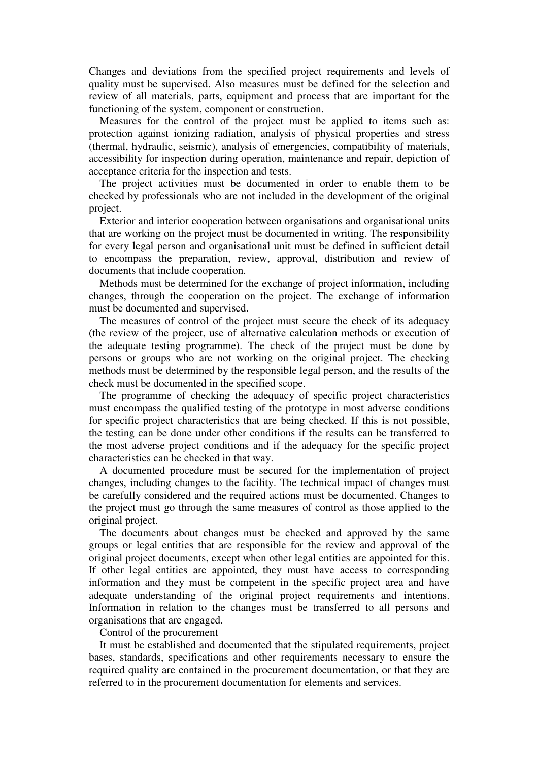Changes and deviations from the specified project requirements and levels of quality must be supervised. Also measures must be defined for the selection and review of all materials, parts, equipment and process that are important for the functioning of the system, component or construction.

Measures for the control of the project must be applied to items such as: protection against ionizing radiation, analysis of physical properties and stress (thermal, hydraulic, seismic), analysis of emergencies, compatibility of materials, accessibility for inspection during operation, maintenance and repair, depiction of acceptance criteria for the inspection and tests.

The project activities must be documented in order to enable them to be checked by professionals who are not included in the development of the original project.

Exterior and interior cooperation between organisations and organisational units that are working on the project must be documented in writing. The responsibility for every legal person and organisational unit must be defined in sufficient detail to encompass the preparation, review, approval, distribution and review of documents that include cooperation.

Methods must be determined for the exchange of project information, including changes, through the cooperation on the project. The exchange of information must be documented and supervised.

The measures of control of the project must secure the check of its adequacy (the review of the project, use of alternative calculation methods or execution of the adequate testing programme). The check of the project must be done by persons or groups who are not working on the original project. The checking methods must be determined by the responsible legal person, аnd the results of the check must be documented in the specified scope.

The programme of checking the adequacy of specific project characteristics must encompass the qualified testing of the prototype in most adverse conditions for specific project characteristics that are being checked. If this is not possible, the testing can be done under other conditions if the results can be transferred to the most adverse project conditions and if the adequacy for the specific project characteristics can be checked in that way.

A documented procedure must be secured for the implementation of project changes, including changes to the facility. The technical impact of changes must be carefully considered and the required actions must be documented. Changes to the project must go through the same measures of control as those applied to the original project.

The documents about changes must be checked and approved by the same groups or legal entities that are responsible for the review and approval of the original project documents, except when other legal entities are appointed for this. If other legal entities are appointed, they must have access to corresponding information and they must be competent in the specific project area and have adequate understanding of the original project requirements and intentions. Information in relation to the changes must be transferred to all persons and organisations that are engaged.

Control of the procurement

It must be established and documented that the stipulated requirements, project bases, standards, specifications and other requirements necessary to ensure the required quality are contained in the procurement documentation, or that they are referred to in the procurement documentation for elements and services.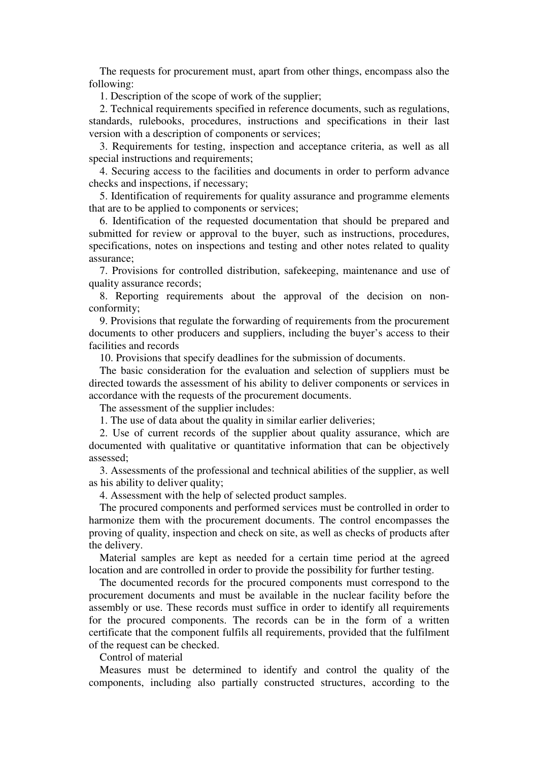The requests for procurement must, apart from other things, encompass also the following:

1. Description of the scope of work of the supplier;

2. Technical requirements specified in reference documents, such as regulations, standards, rulebooks, procedures, instructions and specifications in their last version with a description of components or services;

3. Requirements for testing, inspection and acceptance criteria, as well as all special instructions and requirements;

4. Securing access to the facilities and documents in order to perform advance checks and inspections, if necessary;

5. Identification of requirements for quality assurance and programme elements that are to be applied to components or services;

6. Identification of the requested documentation that should be prepared and submitted for review or approval to the buyer, such as instructions, procedures, specifications, notes on inspections and testing and other notes related to quality assurance;

7. Provisions for controlled distribution, safekeeping, maintenance and use of quality assurance records;

8. Reporting requirements about the approval of the decision on nonconformity;

9. Provisions that regulate the forwarding of requirements from the procurement documents to other producers and suppliers, including the buyer's access to their facilities and records

10. Provisions that specify deadlines for the submission of documents.

The basic consideration for the evaluation and selection of suppliers must be directed towards the assessment of his ability to deliver components or services in accordance with the requests of the procurement documents.

The assessment of the supplier includes:

1. The use of data about the quality in similar earlier deliveries;

2. Use of current records of the supplier about quality assurance, which are documented with qualitative or quantitative information that can be objectively assessed;

3. Assessments of the professional and technical abilities of the supplier, as well as his ability to deliver quality;

4. Assessment with the help of selected product samples.

The procured components and performed services must be controlled in order to harmonize them with the procurement documents. The control encompasses the proving of quality, inspection and check on site, as well as checks of products after the delivery.

Material samples are kept as needed for a certain time period at the agreed location and are controlled in order to provide the possibility for further testing.

The documented records for the procured components must correspond to the procurement documents and must be available in the nuclear facility before the assembly or use. Тhese records must suffice in order to identify all requirements for the procured components. The records can be in the form of a written certificate that the component fulfils all requirements, provided that the fulfilment of the request can be checked.

Control of material

Measures must be determined to identify and control the quality of the components, including also partially constructed structures, according to the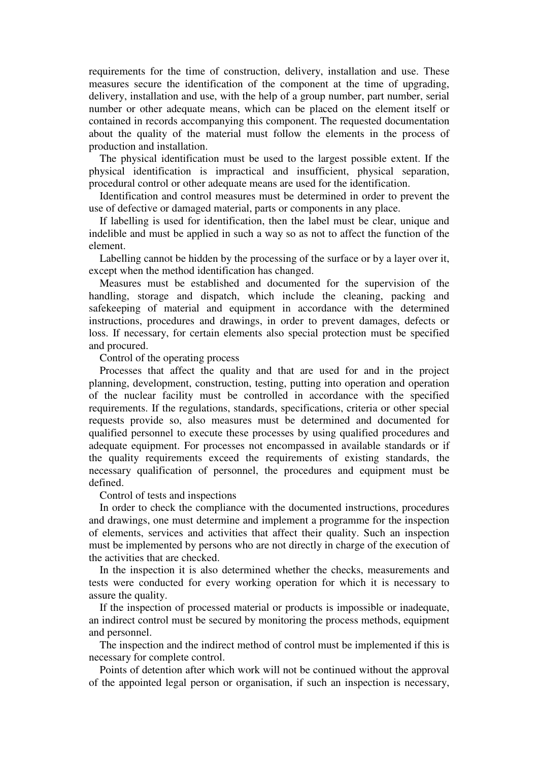requirements for the time of construction, delivery, installation and use. Тhese measures secure the identification of the component at the time of upgrading, delivery, installation and use, with the help of a group number, part number, serial number or other adequate means, which can be placed on the element itself or contained in records accompanying this component. The requested documentation about the quality of the material must follow the elements in the process of production and installation.

The physical identification must be used to the largest possible extent. If the physical identification is impractical and insufficient, physical separation, procedural control or other adequate means are used for the identification.

Identification and control measures must be determined in order to prevent the use of defective or damaged material, parts or components in any place.

If labelling is used for identification, then the label must be clear, unique and indelible and must be applied in such a way so as not to affect the function of the element.

Labelling cannot be hidden by the processing of the surface or by a layer over it, except when the method identification has changed.

Measures must be established and documented for the supervision of the handling, storage and dispatch, which include the cleaning, packing and safekeeping of material and equipment in accordance with the determined instructions, procedures and drawings, in order to prevent damages, defects or loss. If necessary, for certain elements also special protection must be specified and procured.

Control of the operating process

Processes that affect the quality аnd that are used for and in the project planning, development, construction, testing, putting into operation and operation of the nuclear facility must be controlled in accordance with the specified requirements. If the regulations, standards, specifications, criteria or other special requests provide so, also measures must be determined and documented for qualified personnel to execute these processes by using qualified procedures and adequate equipment. For processes not encompassed in available standards or if the quality requirements exceed the requirements of existing standards, the necessary qualification of personnel, the procedures and equipment must be defined.

Control of tests and inspections

In order to check the compliance with the documented instructions, procedures and drawings, one must determine and implement a programme for the inspection of elements, services and activities that affect their quality. Such an inspection must be implemented by persons who are not directly in charge of the execution of the activities that are checked.

In the inspection it is also determined whether the checks, measurements and tests were conducted for every working operation for which it is necessary to assure the quality.

If the inspection of processed material or products is impossible or inadequate, an indirect control must be secured by monitoring the process methods, equipment and personnel.

The inspection and the indirect method of control must be implemented if this is necessary for complete control.

Points of detention after which work will not be continued without the approval of the appointed legal person or organisation, if such an inspection is necessary,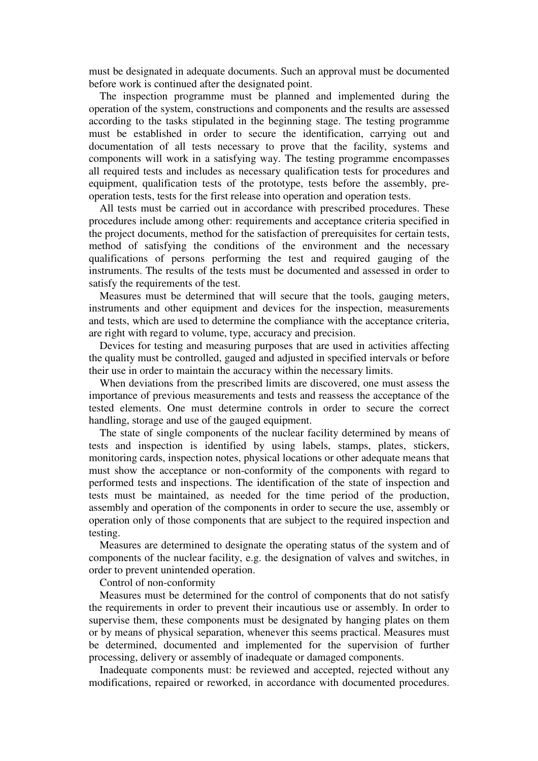must be designated in adequate documents. Such an approval must be documented before work is continued after the designated point.

The inspection programme must be planned and implemented during the operation of the system, constructions and components and the results are assessed according to the tasks stipulated in the beginning stage. The testing programme must be established in order to secure the identification, carrying out and documentation of all tests necessary to prove that the facility, systems and components will work in a satisfying way. The testing programme encompasses all required tests and includes as necessary qualification tests for procedures and equipment, qualification tests of the prototype, tests before the assembly, preoperation tests, tests for the first release into operation and operation tests.

All tests must be carried out in accordance with prescribed procedures. These procedures include among other: requirements and acceptance criteria specified in the project documents, method for the satisfaction of prerequisites for certain tests, method of satisfying the conditions of the environment and the necessary qualifications of persons performing the test and required gauging of the instruments. The results of the tests must be documented and assessed in order to satisfy the requirements of the test.

Measures must be determined that will secure that the tools, gauging meters, instruments and other equipment and devices for the inspection, measurements and tests, which are used to determine the compliance with the acceptance criteria, are right with regard to volume, type, accuracy and precision.

Devices for testing and measuring purposes that are used in activities affecting the quality must be controlled, gauged and adjusted in specified intervals or before their use in order to maintain the accuracy within the necessary limits.

When deviations from the prescribed limits are discovered, one must assess the importance of previous measurements and tests and reassess the acceptance of the tested elements. One must determine controls in order to secure the correct handling, storage and use of the gauged equipment.

The state of single components of the nuclear facility determined by means of tests and inspection is identified by using labels, stamps, plates, stickers, monitoring cards, inspection notes, physical locations or other adequate means that must show the acceptance or non-conformity of the components with regard to performed tests and inspections. The identification of the state of inspection and tests must be maintained, as needed for the time period of the production, assembly and operation of the components in order to secure the use, assembly or operation only of those components that are subject to the required inspection and testing.

Measures are determined to designate the operating status of the system and of components of the nuclear facility, e.g. the designation of valves and switches, in order to prevent unintended operation.

Control of non-conformity

Measures must be determined for the control of components that do not satisfy the requirements in order to prevent their incautious use or assembly. In order to supervise them, these components must be designated by hanging plates on them or by means of physical separation, whenever this seems practical. Measures must be determined, documented and implemented for the supervision of further processing, delivery or assembly of inadequate or damaged components.

Inadequate components must: be reviewed and accepted, rejected without any modifications, repaired or reworked, in accordance with documented procedures.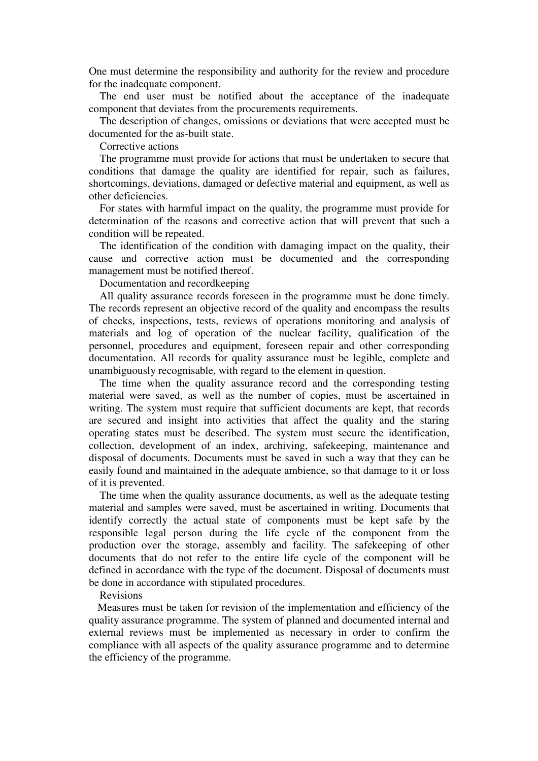One must determine the responsibility and authority for the review and procedure for the inadequate component.

The end user must be notified about the acceptance of the inadequate component that deviates from the procurements requirements.

The description of changes, omissions or deviations that were accepted must be documented for the as-built state.

Corrective actions

The programme must provide for actions that must be undertaken to secure that conditions that damage the quality are identified for repair, such as failures, shortcomings, deviations, damaged or defective material and equipment, as well as other deficiencies.

For states with harmful impact on the quality, the programme must provide for determination of the reasons and corrective action that will prevent that such a condition will be repeated.

The identification of the condition with damaging impact on the quality, their cause and corrective action must be documented and the corresponding management must be notified thereof.

Documentation and recordkeeping

All quality assurance records foreseen in the programme must be done timely. The records represent an objective record of the quality and encompass the results of checks, inspections, tests, reviews of operations monitoring and analysis of materials and log of operation of the nuclear facility, qualification of the personnel, procedures and equipment, foreseen repair and other corresponding documentation. All records for quality assurance must be legible, complete and unambiguously recognisable, with regard to the element in question.

The time when the quality assurance record and the corresponding testing material were saved, as well as the number of copies, must be ascertained in writing. The system must require that sufficient documents are kept, that records are secured and insight into activities that affect the quality and the staring operating states must be described. The system must secure the identification, collection, development of an index, archiving, safekeeping, maintenance and disposal of documents. Documents must be saved in such a way that they can be easily found and maintained in the adequate ambience, so that damage to it or loss of it is prevented.

The time when the quality assurance documents, as well as the adequate testing material and samples were saved, must be ascertained in writing. Documents that identify correctly the actual state of components must be kept safe by the responsible legal person during the life cycle of the component from the production over the storage, assembly and facility. The safekeeping of other documents that do not refer to the entire life cycle of the component will be defined in accordance with the type of the document. Disposal of documents must be done in accordance with stipulated procedures.

#### Revisions

 Measures must be taken for revision of the implementation and efficiency of the quality assurance programme. The system of planned and documented internal and external reviews must be implemented as necessary in order to confirm the compliance with all aspects of the quality assurance programme and to determine the efficiency of the programme.